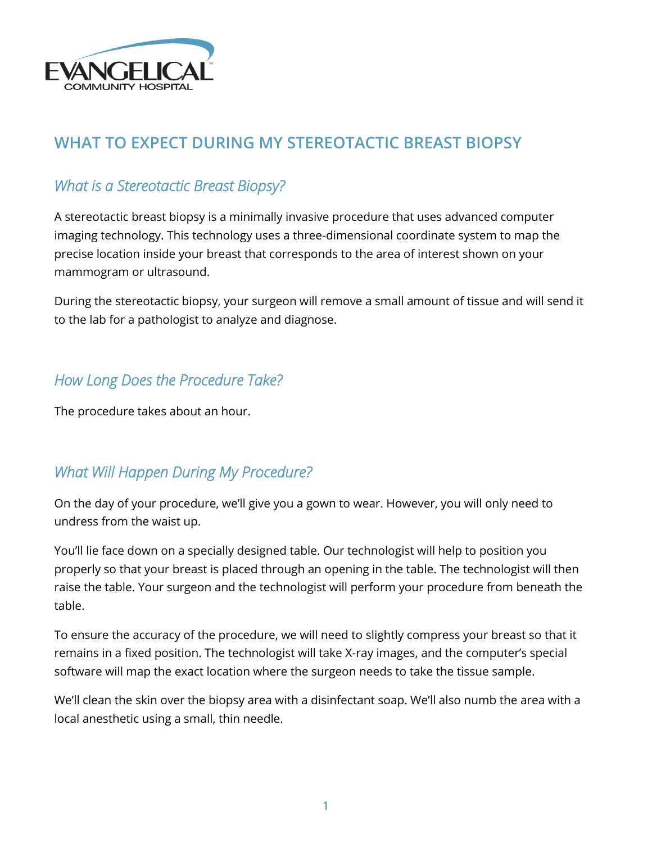

## **WHAT TO EXPECT DURING MY STEREOTACTIC BREAST BIOPSY**

## *What is a Stereotactic Breast Biopsy?*

A stereotactic breast biopsy is a minimally invasive procedure that uses advanced computer imaging technology. This technology uses a three-dimensional coordinate system to map the precise location inside your breast that corresponds to the area of interest shown on your mammogram or ultrasound.

During the stereotactic biopsy, your surgeon will remove a small amount of tissue and will send it to the lab for a pathologist to analyze and diagnose.

## *How Long Does the Procedure Take?*

The procedure takes about an hour.

## *What Will Happen During My Procedure?*

On the day of your procedure, we'll give you a gown to wear. However, you will only need to undress from the waist up.

You'll lie face down on a specially designed table. Our technologist will help to position you properly so that your breast is placed through an opening in the table. The technologist will then raise the table. Your surgeon and the technologist will perform your procedure from beneath the table.

To ensure the accuracy of the procedure, we will need to slightly compress your breast so that it remains in a fixed position. The technologist will take X-ray images, and the computer's special software will map the exact location where the surgeon needs to take the tissue sample.

We'll clean the skin over the biopsy area with a disinfectant soap. We'll also numb the area with a local anesthetic using a small, thin needle.